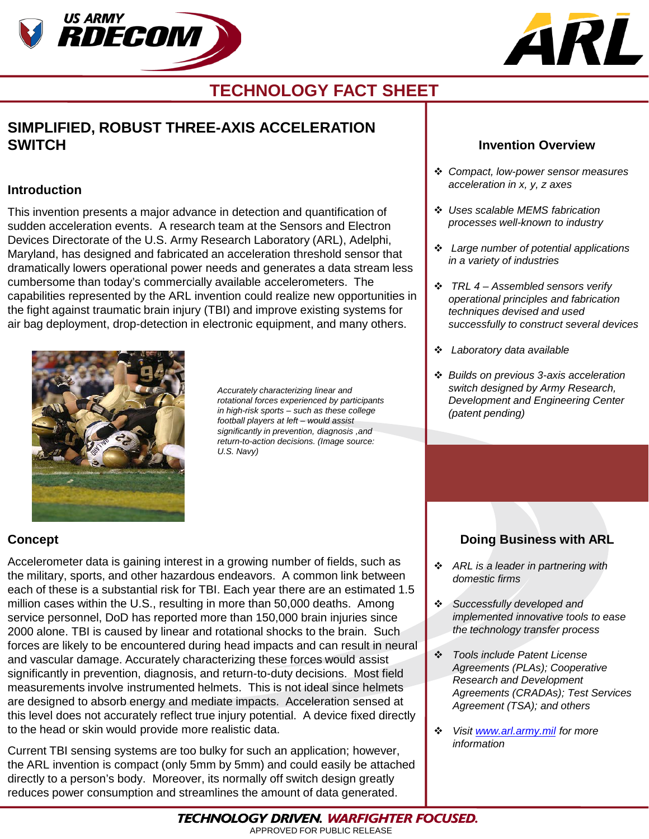



## **TECHNOLOGY FACT SHEET**

## **SIMPLIFIED, ROBUST THREE-AXIS ACCELERATION SWITCH**

### **Introduction**

This invention presents a major advance in detection and quantification of sudden acceleration events. A research team at the Sensors and Electron Devices Directorate of the U.S. Army Research Laboratory (ARL), Adelphi, Maryland, has designed and fabricated an acceleration threshold sensor that dramatically lowers operational power needs and generates a data stream less cumbersome than today's commercially available accelerometers. The capabilities represented by the ARL invention could realize new opportunities in the fight against traumatic brain injury (TBI) and improve existing systems for air bag deployment, drop-detection in electronic equipment, and many others.



*Accurately characterizing linear and rotational forces experienced by participants in high-risk sports – such as these college football players at left – would assist significantly in prevention, diagnosis ,and return-to-action decisions. (Image source: U.S. Navy)*

#### **Invention Overview**

- *Compact, low-power sensor measures acceleration in x, y, z axes*
- *Uses scalable MEMS fabrication processes well-known to industry*
- *Large number of potential applications in a variety of industries*
- *TRL 4 – Assembled sensors verify operational principles and fabrication techniques devised and used successfully to construct several devices*
- *Laboratory data available*
- *Builds on previous 3-axis acceleration switch designed by Army Research, Development and Engineering Center (patent pending)*

## **Concept**

Accelerometer data is gaining interest in a growing number of fields, such as the military, sports, and other hazardous endeavors. A common link between each of these is a substantial risk for TBI. Each year there are an estimated 1.5 million cases within the U.S., resulting in more than 50,000 deaths. Among service personnel, DoD has reported more than 150,000 brain injuries since 2000 alone. TBI is caused by linear and rotational shocks to the brain. Such forces are likely to be encountered during head impacts and can result in neural and vascular damage. Accurately characterizing these forces would assist significantly in prevention, diagnosis, and return-to-duty decisions. Most field measurements involve instrumented helmets. This is not ideal since helmets are designed to absorb energy and mediate impacts. Acceleration sensed at this level does not accurately reflect true injury potential. A device fixed directly to the head or skin would provide more realistic data.

Current TBI sensing systems are too bulky for such an application; however, the ARL invention is compact (only 5mm by 5mm) and could easily be attached directly to a person's body. Moreover, its normally off switch design greatly reduces power consumption and streamlines the amount of data generated.

## **Doing Business with ARL**

- *ARL is a leader in partnering with domestic firms*
- *Successfully developed and implemented innovative tools to ease the technology transfer process*
- *Tools include Patent License Agreements (PLAs); Cooperative Research and Development Agreements (CRADAs); Test Services Agreement (TSA); and others*
- *Visit [www.arl.army.mil](http://www.arl.army.mil/) for more information*